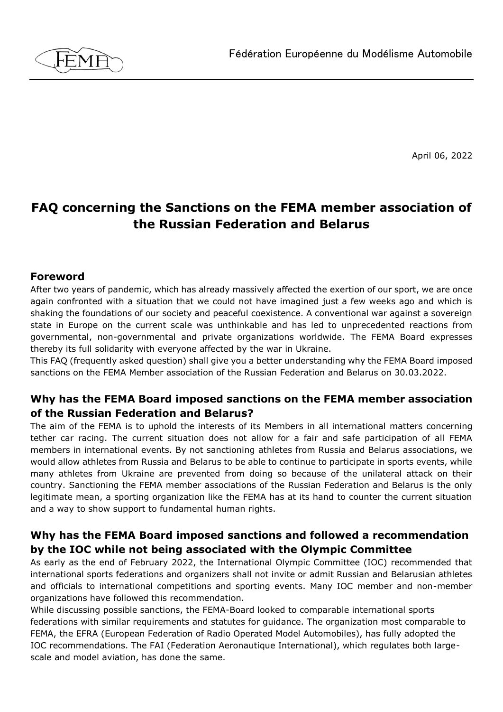

April 06, 2022

# **FAQ concerning the Sanctions on the FEMA member association of the Russian Federation and Belarus**

#### **Foreword**

After two years of pandemic, which has already massively affected the exertion of our sport, we are once again confronted with a situation that we could not have imagined just a few weeks ago and which is shaking the foundations of our society and peaceful coexistence. A conventional war against a sovereign state in Europe on the current scale was unthinkable and has led to unprecedented reactions from governmental, non-governmental and private organizations worldwide. The FEMA Board expresses thereby its full solidarity with everyone affected by the war in Ukraine.

This FAQ (frequently asked question) shall give you a better understanding why the FEMA Board imposed sanctions on the FEMA Member association of the Russian Federation and Belarus on 30.03.2022.

### **Why has the FEMA Board imposed sanctions on the FEMA member association of the Russian Federation and Belarus?**

The aim of the FEMA is to uphold the interests of its Members in all international matters concerning tether car racing. The current situation does not allow for a fair and safe participation of all FEMA members in international events. By not sanctioning athletes from Russia and Belarus associations, we would allow athletes from Russia and Belarus to be able to continue to participate in sports events, while many athletes from Ukraine are prevented from doing so because of the unilateral attack on their country. Sanctioning the FEMA member associations of the Russian Federation and Belarus is the only legitimate mean, a sporting organization like the FEMA has at its hand to counter the current situation and a way to show support to fundamental human rights.

### **Why has the FEMA Board imposed sanctions and followed a recommendation by the IOC while not being associated with the Olympic Committee**

As early as the end of February 2022, the International Olympic Committee (IOC) recommended that international sports federations and organizers shall not invite or admit Russian and Belarusian athletes and officials to international competitions and sporting events. Many IOC member and non-member organizations have followed this recommendation.

While discussing possible sanctions, the FEMA-Board looked to comparable international sports federations with similar requirements and statutes for guidance. The organization most comparable to FEMA, the EFRA (European Federation of Radio Operated Model Automobiles), has fully adopted the IOC recommendations. The FAI (Federation Aeronautique International), which regulates both largescale and model aviation, has done the same.